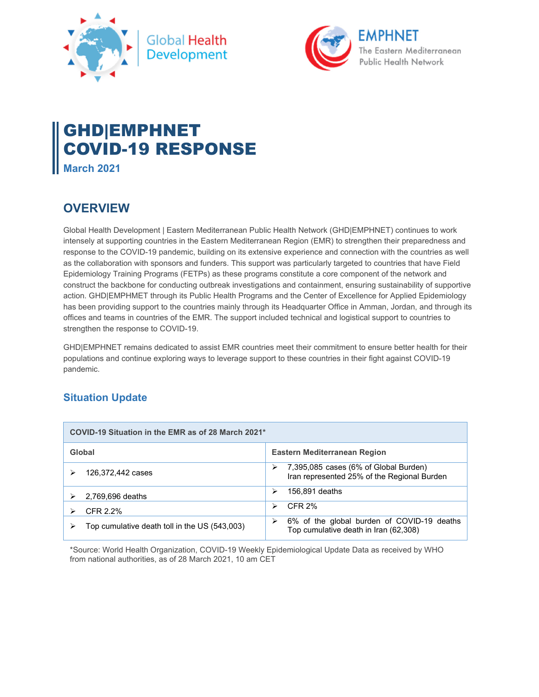



# GHD|EMPHNET COVID-19 RESPONSE

**March 2021** 

## **OVERVIEW**

Global Health Development | Eastern Mediterranean Public Health Network (GHD|EMPHNET) continues to work intensely at supporting countries in the Eastern Mediterranean Region (EMR) to strengthen their preparedness and response to the COVID-19 pandemic, building on its extensive experience and connection with the countries as well as the collaboration with sponsors and funders. This support was particularly targeted to countries that have Field Epidemiology Training Programs (FETPs) as these programs constitute a core component of the network and construct the backbone for conducting outbreak investigations and containment, ensuring sustainability of supportive action. GHD|EMPHMET through its Public Health Programs and the Center of Excellence for Applied Epidemiology has been providing support to the countries mainly through its Headquarter Office in Amman, Jordan, and through its offices and teams in countries of the EMR. The support included technical and logistical support to countries to strengthen the response to COVID-19.

GHD|EMPHNET remains dedicated to assist EMR countries meet their commitment to ensure better health for their populations and continue exploring ways to leverage support to these countries in their fight against COVID-19 pandemic.

## **Situation Update**

| COVID-19 Situation in the EMR as of 28 March 2021* |                                                                                           |
|----------------------------------------------------|-------------------------------------------------------------------------------------------|
| Global                                             | Eastern Mediterranean Region                                                              |
| 126,372,442 cases                                  | 7,395,085 cases (6% of Global Burden)<br>⋗<br>Iran represented 25% of the Regional Burden |
| 2,769,696 deaths                                   | 156,891 deaths<br>⋗                                                                       |
| CFR 2.2%                                           | CFR 2%<br>↘                                                                               |
| Top cumulative death toll in the US (543,003)      | 6% of the global burden of COVID-19 deaths<br>Top cumulative death in Iran (62,308)       |

\*Source: World Health Organization, COVID-19 Weekly Epidemiological Update Data as received by WHO from national authorities, as of 28 March 2021, 10 am CET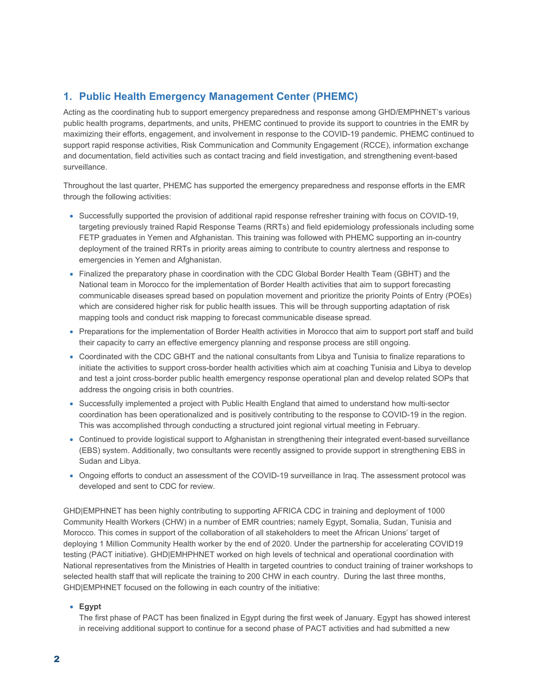## **1. Public Health Emergency Management Center (PHEMC)**

Acting as the coordinating hub to support emergency preparedness and response among GHD/EMPHNET's various public health programs, departments, and units, PHEMC continued to provide its support to countries in the EMR by maximizing their efforts, engagement, and involvement in response to the COVID-19 pandemic. PHEMC continued to support rapid response activities, Risk Communication and Community Engagement (RCCE), information exchange and documentation, field activities such as contact tracing and field investigation, and strengthening event-based surveillance.

Throughout the last quarter, PHEMC has supported the emergency preparedness and response efforts in the EMR through the following activities:

- Successfully supported the provision of additional rapid response refresher training with focus on COVID-19, targeting previously trained Rapid Response Teams (RRTs) and field epidemiology professionals including some FETP graduates in Yemen and Afghanistan. This training was followed with PHEMC supporting an in-country deployment of the trained RRTs in priority areas aiming to contribute to country alertness and response to emergencies in Yemen and Afghanistan.
- Finalized the preparatory phase in coordination with the CDC Global Border Health Team (GBHT) and the National team in Morocco for the implementation of Border Health activities that aim to support forecasting communicable diseases spread based on population movement and prioritize the priority Points of Entry (POEs) which are considered higher risk for public health issues. This will be through supporting adaptation of risk mapping tools and conduct risk mapping to forecast communicable disease spread.
- Preparations for the implementation of Border Health activities in Morocco that aim to support port staff and build their capacity to carry an effective emergency planning and response process are still ongoing.
- Coordinated with the CDC GBHT and the national consultants from Libya and Tunisia to finalize reparations to initiate the activities to support cross-border health activities which aim at coaching Tunisia and Libya to develop and test a joint cross-border public health emergency response operational plan and develop related SOPs that address the ongoing crisis in both countries.
- Successfully implemented a project with Public Health England that aimed to understand how multi-sector coordination has been operationalized and is positively contributing to the response to COVID-19 in the region. This was accomplished through conducting a structured joint regional virtual meeting in February.
- Continued to provide logistical support to Afghanistan in strengthening their integrated event-based surveillance (EBS) system. Additionally, two consultants were recently assigned to provide support in strengthening EBS in Sudan and Libya.
- Ongoing efforts to conduct an assessment of the COVID-19 surveillance in Iraq. The assessment protocol was developed and sent to CDC for review.

GHD|EMPHNET has been highly contributing to supporting AFRICA CDC in training and deployment of 1000 Community Health Workers (CHW) in a number of EMR countries; namely Egypt, Somalia, Sudan, Tunisia and Morocco. This comes in support of the collaboration of all stakeholders to meet the African Unions' target of deploying 1 Million Community Health worker by the end of 2020. Under the partnership for accelerating COVID19 testing (PACT initiative). GHD|EMHPHNET worked on high levels of technical and operational coordination with National representatives from the Ministries of Health in targeted countries to conduct training of trainer workshops to selected health staff that will replicate the training to 200 CHW in each country. During the last three months, GHD|EMPHNET focused on the following in each country of the initiative:

#### **Egypt**

The first phase of PACT has been finalized in Egypt during the first week of January. Egypt has showed interest in receiving additional support to continue for a second phase of PACT activities and had submitted a new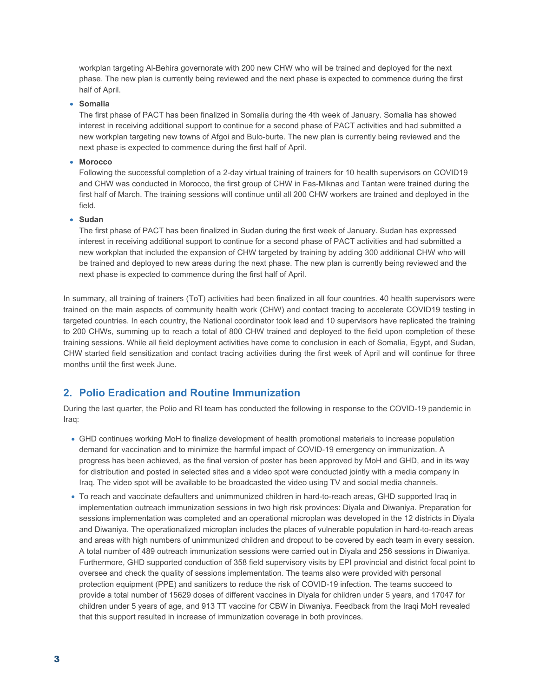workplan targeting Al-Behira governorate with 200 new CHW who will be trained and deployed for the next phase. The new plan is currently being reviewed and the next phase is expected to commence during the first half of April.

#### **Somalia**

The first phase of PACT has been finalized in Somalia during the 4th week of January. Somalia has showed interest in receiving additional support to continue for a second phase of PACT activities and had submitted a new workplan targeting new towns of Afgoi and Bulo-burte. The new plan is currently being reviewed and the next phase is expected to commence during the first half of April.

#### **Morocco**

Following the successful completion of a 2-day virtual training of trainers for 10 health supervisors on COVID19 and CHW was conducted in Morocco, the first group of CHW in Fas-Miknas and Tantan were trained during the first half of March. The training sessions will continue until all 200 CHW workers are trained and deployed in the field.

#### **Sudan**

The first phase of PACT has been finalized in Sudan during the first week of January. Sudan has expressed interest in receiving additional support to continue for a second phase of PACT activities and had submitted a new workplan that included the expansion of CHW targeted by training by adding 300 additional CHW who will be trained and deployed to new areas during the next phase. The new plan is currently being reviewed and the next phase is expected to commence during the first half of April.

In summary, all training of trainers (ToT) activities had been finalized in all four countries. 40 health supervisors were trained on the main aspects of community health work (CHW) and contact tracing to accelerate COVID19 testing in targeted countries. In each country, the National coordinator took lead and 10 supervisors have replicated the training to 200 CHWs, summing up to reach a total of 800 CHW trained and deployed to the field upon completion of these training sessions. While all field deployment activities have come to conclusion in each of Somalia, Egypt, and Sudan, CHW started field sensitization and contact tracing activities during the first week of April and will continue for three months until the first week June.

## **2. Polio Eradication and Routine Immunization**

During the last quarter, the Polio and RI team has conducted the following in response to the COVID-19 pandemic in Iraq:

- GHD continues working MoH to finalize development of health promotional materials to increase population demand for vaccination and to minimize the harmful impact of COVID-19 emergency on immunization. A progress has been achieved, as the final version of poster has been approved by MoH and GHD, and in its way for distribution and posted in selected sites and a video spot were conducted jointly with a media company in Iraq. The video spot will be available to be broadcasted the video using TV and social media channels.
- To reach and vaccinate defaulters and unimmunized children in hard-to-reach areas, GHD supported Iraq in implementation outreach immunization sessions in two high risk provinces: Diyala and Diwaniya. Preparation for sessions implementation was completed and an operational microplan was developed in the 12 districts in Diyala and Diwaniya. The operationalized microplan includes the places of vulnerable population in hard-to-reach areas and areas with high numbers of unimmunized children and dropout to be covered by each team in every session. A total number of 489 outreach immunization sessions were carried out in Diyala and 256 sessions in Diwaniya. Furthermore, GHD supported conduction of 358 field supervisory visits by EPI provincial and district focal point to oversee and check the quality of sessions implementation. The teams also were provided with personal protection equipment (PPE) and sanitizers to reduce the risk of COVID-19 infection. The teams succeed to provide a total number of 15629 doses of different vaccines in Diyala for children under 5 years, and 17047 for children under 5 years of age, and 913 TT vaccine for CBW in Diwaniya. Feedback from the Iraqi MoH revealed that this support resulted in increase of immunization coverage in both provinces.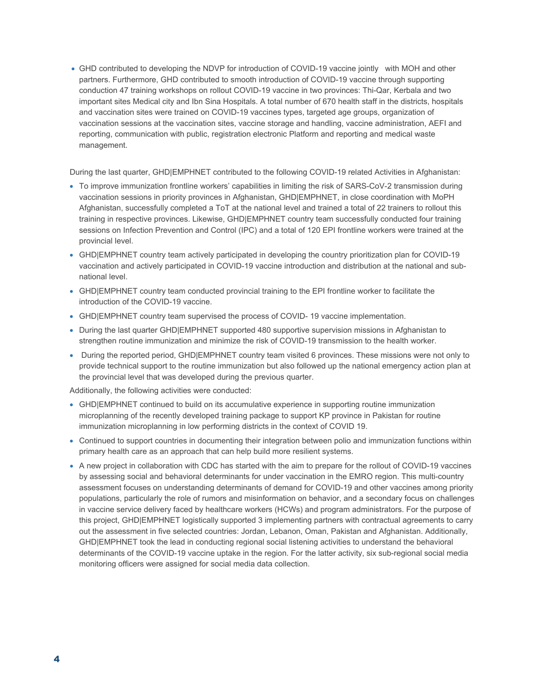GHD contributed to developing the NDVP for introduction of COVID-19 vaccine jointly with MOH and other partners. Furthermore, GHD contributed to smooth introduction of COVID-19 vaccine through supporting conduction 47 training workshops on rollout COVID-19 vaccine in two provinces: Thi-Qar, Kerbala and two important sites Medical city and Ibn Sina Hospitals. A total number of 670 health staff in the districts, hospitals and vaccination sites were trained on COVID-19 vaccines types, targeted age groups, organization of vaccination sessions at the vaccination sites, vaccine storage and handling, vaccine administration, AEFI and reporting, communication with public, registration electronic Platform and reporting and medical waste management.

During the last quarter, GHD|EMPHNET contributed to the following COVID-19 related Activities in Afghanistan:

- To improve immunization frontline workers' capabilities in limiting the risk of SARS-CoV-2 transmission during vaccination sessions in priority provinces in Afghanistan, GHD|EMPHNET, in close coordination with MoPH Afghanistan, successfully completed a ToT at the national level and trained a total of 22 trainers to rollout this training in respective provinces. Likewise, GHD|EMPHNET country team successfully conducted four training sessions on Infection Prevention and Control (IPC) and a total of 120 EPI frontline workers were trained at the provincial level.
- GHD|EMPHNET country team actively participated in developing the country prioritization plan for COVID-19 vaccination and actively participated in COVID-19 vaccine introduction and distribution at the national and subnational level.
- GHD|EMPHNET country team conducted provincial training to the EPI frontline worker to facilitate the introduction of the COVID-19 vaccine.
- GHD|EMPHNET country team supervised the process of COVID- 19 vaccine implementation.
- During the last quarter GHD|EMPHNET supported 480 supportive supervision missions in Afghanistan to strengthen routine immunization and minimize the risk of COVID-19 transmission to the health worker.
- During the reported period, GHD|EMPHNET country team visited 6 provinces. These missions were not only to provide technical support to the routine immunization but also followed up the national emergency action plan at the provincial level that was developed during the previous quarter.

Additionally, the following activities were conducted:

- GHD|EMPHNET continued to build on its accumulative experience in supporting routine immunization microplanning of the recently developed training package to support KP province in Pakistan for routine immunization microplanning in low performing districts in the context of COVID 19.
- Continued to support countries in documenting their integration between polio and immunization functions within primary health care as an approach that can help build more resilient systems.
- A new project in collaboration with CDC has started with the aim to prepare for the rollout of COVID-19 vaccines by assessing social and behavioral determinants for under vaccination in the EMRO region. This multi-country assessment focuses on understanding determinants of demand for COVID-19 and other vaccines among priority populations, particularly the role of rumors and misinformation on behavior, and a secondary focus on challenges in vaccine service delivery faced by healthcare workers (HCWs) and program administrators. For the purpose of this project, GHD|EMPHNET logistically supported 3 implementing partners with contractual agreements to carry out the assessment in five selected countries: Jordan, Lebanon, Oman, Pakistan and Afghanistan. Additionally, GHD|EMPHNET took the lead in conducting regional social listening activities to understand the behavioral determinants of the COVID-19 vaccine uptake in the region. For the latter activity, six sub-regional social media monitoring officers were assigned for social media data collection.